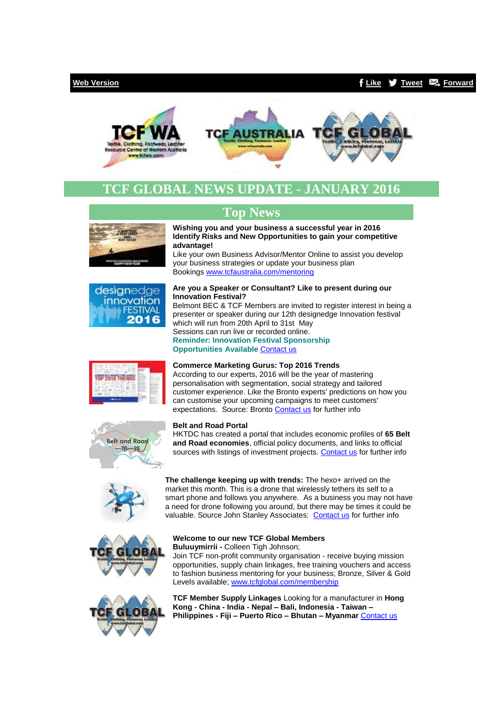## **[Web Version](http://bbec.bridgewaymailer.com/t/j-e-hhuthkt-cfliira-y/) [Like](http://bbec.bridgewaymailer.com/t/j-fb-hhuthkt-cfliira-h/) [Tweet](http://bbec.bridgewaymailer.com/t/j-tw-hhuthkt-cfliira-u/) [Forward](http://belmontbec.forwardtomyfriend.com/j-cfliira-32345081-hhuthkt-l-b)**





# **TCF GLOBAL NEWS UPDATE - JANUARY 2016**

# **Top News**





### **Identify Risks and New Opportunities to gain your competitive advantage!** Like your own Business Advisor/Mentor Online to assist you develop

**Wishing you and your business a successful year in 2016**

your business strategies or update your business plan Bookings [www.tcfaustralia.com/mentoring](http://bbec.bridgewaymailer.com/t/j-l-hhuthkt-cfliira-p/)

#### **Are you a Speaker or Consultant? Like to present during our Innovation Festival?**

Belmont BEC & TCF Members are invited to register interest in being a presenter or speaker during our 12th designedge Innovation festival which will run from 20th April to 31st May Sessions can run live or recorded online. **Reminder: Innovation Festival Sponsorship Opportunities Available** [Contact us](mailto:support@belmontbec.com?subject=Re%3A%20Be%20part%20of%20our%2012th%20designedge%20Innovation%20Festival%202016)



### **Commerce Marketing Gurus: Top 2016 Trends**

According to our experts, 2016 will be the year of mastering personalisation with segmentation, social strategy and tailored customer experience. Like the Bronto experts' predictions on how you can customise your upcoming campaigns to meet customers' expectations. Source: Bronto [Contact us](mailto:support@belmontbec.com?subject=Re%3A%20Commerce%20Marketing%20Gurus%3A%20Top%202016%20Trends) for further info



#### **Belt and Road Portal**

HKTDC has created a portal that includes economic profiles of **65 Belt and Road economies**, official policy documents, and links to official sources with listings of investment projects[. Contact us](mailto:support@belmontbec.com?subject=Re%3A%20Belt%20and%20Road%20Portal) for further info



**The challenge keeping up with trends:** The hexo+ arrived on the market this month. This is a drone that wirelessly tethers its self to a smart phone and follows you anywhere. As a business you may not have a need for drone following you around, but there may be times it could be valuable. Source John Stanley Associates: [Contact us](mailto:support@belmontbec.com?subject=Re%3A%20The%20challenge%20keeping%20up%20with%20trends) for further info



### **Welcome to our new TCF Global Members**

**Buluuymirrii -** Colleen Tigh Johnson;

Join TCF non-profit community organisation - receive buying mission opportunities, supply chain linkages, free training vouchers and access to fashion business mentoring for your business; Bronze, Silver & Gold Levels available; [www.tcfglobal.com/membership](http://bbec.bridgewaymailer.com/t/j-l-hhuthkt-cfliira-x/)



**TCF Member Supply Linkages** Looking for a manufacturer in **Hong Kong - China - India - Nepal – Bali, Indonesia - Taiwan – Philippines - Fiji – Puerto Rico – Bhutan – Myanmar** [Contact us](mailto:support@tcfwa.com?subject=TCF%20Member%20Linkages)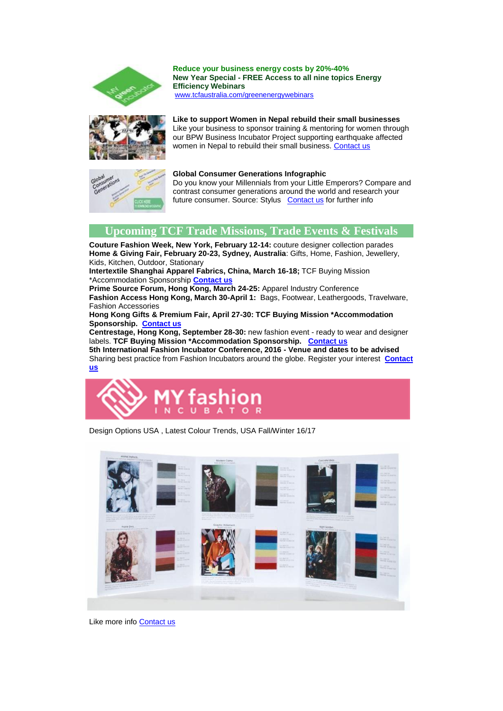

**Reduce your business energy costs by 20%-40% New Year Special - FREE Access to all nine topics Energy Efficiency Webinars** [www.tcfaustralia.com/greenenergywebinars](http://bbec.bridgewaymailer.com/t/j-l-hhuthkt-cfliira-m/)



# **Like to support Women in Nepal rebuild their small businesses**

Like your business to sponsor training & mentoring for women through our BPW Business Incubator Project supporting earthquake affected women in Nepal to rebuild their small business. [Contact us](mailto:support@belmontbec.com?subject=Re%3A%20Like%20to%20support%20Women%20in%20Nepal%20rebuild%20their%20small%20businesses)



# **Global Consumer Generations Infographic**

Do you know your Millennials from your Little Emperors? Compare and contrast consumer generations around the world and research your future consumer. Source: Stylus [Contact us](mailto:support@belmontbec.com?subject=Re%3A%20Global%20Consumer%20Generations%20Infographic) for further info

# **Upcoming TCF Trade Missions, Trade Events & Festivals**

**Couture Fashion Week, New York, February 12-14:** couture designer collection parades **Home & Giving Fair, February 20-23, Sydney, Australia**: Gifts, Home, Fashion, Jewellery, Kids, Kitchen, Outdoor, Stationary

**Intertextile Shanghai Apparel Fabrics, China, March 16-18;** TCF Buying Mission \*Accommodation Sponsorship **[Contact us](mailto:support@tcfwa.com?subject=Re%3AIntertextile%20Shanghai%20Apparel%20Fabrics%2C%20China%2C%20March%2016-18%3B)**

**Prime Source Forum, Hong Kong, March 24-25:** Apparel Industry Conference **Fashion Access Hong Kong, March 30-April 1:** Bags, Footwear, Leathergoods, Travelware, Fashion Accessories

### **Hong Kong Gifts & Premium Fair, April 27-30: TCF Buying Mission \*Accommodation Sponsorship. [Contact us](mailto:support@tcfwa.com?subject=Hong%20Kong%20Gifts%20%26%20Premium%20Fair%2C%20April%2027-30)**

**Centrestage, Hong Kong, September 28-30:** new fashion event - ready to wear and designer labels. **TCF Buying Mission \*Accommodation Sponsorship. [Contact us](mailto:support@tcfwa.com?subject=re%3A%20Centrestage%2C%20Hong%20Kong)**

**5th International Fashion Incubator Conference, 2016 - Venue and dates to be advised**  Sharing best practice from Fashion Incubators around the globe. Register your interest **[Contact](mailto:events@tcfwa.com?subject=Diary%20Date%20-%205th%20International%20Fashion%20Incubator%20Conference)  [us](mailto:events@tcfwa.com?subject=Diary%20Date%20-%205th%20International%20Fashion%20Incubator%20Conference)**



Design Options USA , Latest Colour Trends, USA Fall/Winter 16/17



Like more inf[o Contact us](mailto:support@tcfwa.com?subject=Trend%20Council)